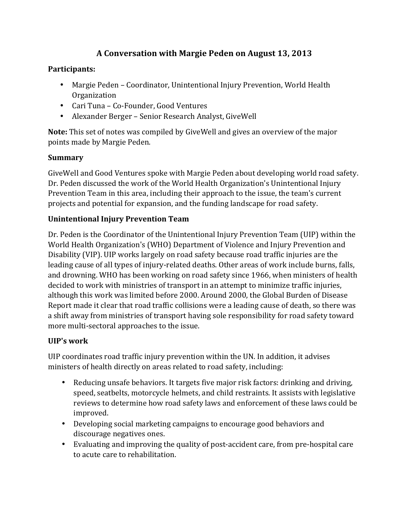# **A Conversation with Margie Peden on August 13, 2013**

### **Participants:**

- Margie Peden Coordinator, Unintentional Injury Prevention, World Health Organization
- Cari Tuna Co-Founder, Good Ventures
- Alexander Berger Senior Research Analyst, GiveWell

**Note:** This set of notes was compiled by GiveWell and gives an overview of the major points made by Margie Peden.

### **Summary**

GiveWell and Good Ventures spoke with Margie Peden about developing world road safety. Dr. Peden discussed the work of the World Health Organization's Unintentional Injury Prevention Team in this area, including their approach to the issue, the team's current projects and potential for expansion, and the funding landscape for road safety.

### **Unintentional Injury Prevention Team**

Dr. Peden is the Coordinator of the Unintentional Injury Prevention Team (UIP) within the World Health Organization's (WHO) Department of Violence and Injury Prevention and Disability (VIP). UIP works largely on road safety because road traffic injuries are the leading cause of all types of injury-related deaths. Other areas of work include burns, falls, and drowning. WHO has been working on road safety since 1966, when ministers of health decided to work with ministries of transport in an attempt to minimize traffic injuries, although this work was limited before 2000. Around 2000, the Global Burden of Disease Report made it clear that road traffic collisions were a leading cause of death, so there was a shift away from ministries of transport having sole responsibility for road safety toward more multi-sectoral approaches to the issue.

### **UIP's work**

UIP coordinates road traffic injury prevention within the UN. In addition, it advises ministers of health directly on areas related to road safety, including:

- Reducing unsafe behaviors. It targets five major risk factors: drinking and driving, speed, seatbelts, motorcycle helmets, and child restraints. It assists with legislative reviews to determine how road safety laws and enforcement of these laws could be improved.
- Developing social marketing campaigns to encourage good behaviors and discourage negatives ones.
- Evaluating and improving the quality of post-accident care, from pre-hospital care to acute care to rehabilitation.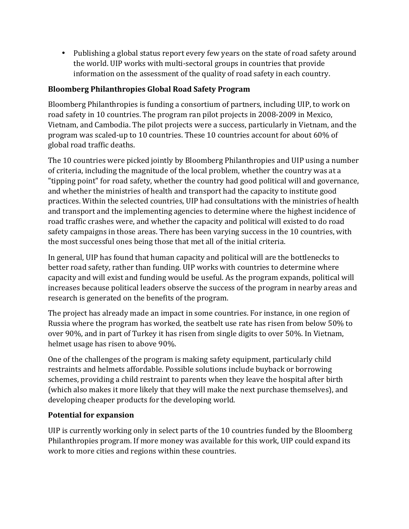• Publishing a global status report every few years on the state of road safety around the world. UIP works with multi-sectoral groups in countries that provide information on the assessment of the quality of road safety in each country.

### **Bloomberg Philanthropies Global Road Safety Program**

Bloomberg Philanthropies is funding a consortium of partners, including UIP, to work on road safety in 10 countries. The program ran pilot projects in 2008-2009 in Mexico, Vietnam, and Cambodia. The pilot projects were a success, particularly in Vietnam, and the program was scaled-up to 10 countries. These 10 countries account for about 60% of global road traffic deaths.

The 10 countries were picked jointly by Bloomberg Philanthropies and UIP using a number of criteria, including the magnitude of the local problem, whether the country was at a "tipping point" for road safety, whether the country had good political will and governance, and whether the ministries of health and transport had the capacity to institute good practices. Within the selected countries, UIP had consultations with the ministries of health and transport and the implementing agencies to determine where the highest incidence of road traffic crashes were, and whether the capacity and political will existed to do road safety campaigns in those areas. There has been varying success in the 10 countries, with the most successful ones being those that met all of the initial criteria.

In general, UIP has found that human capacity and political will are the bottlenecks to better road safety, rather than funding. UIP works with countries to determine where capacity and will exist and funding would be useful. As the program expands, political will increases because political leaders observe the success of the program in nearby areas and research is generated on the benefits of the program.

The project has already made an impact in some countries. For instance, in one region of Russia where the program has worked, the seatbelt use rate has risen from below 50% to over 90%, and in part of Turkey it has risen from single digits to over 50%. In Vietnam, helmet usage has risen to above 90%.

One of the challenges of the program is making safety equipment, particularly child restraints and helmets affordable. Possible solutions include buyback or borrowing schemes, providing a child restraint to parents when they leave the hospital after birth (which also makes it more likely that they will make the next purchase themselves), and developing cheaper products for the developing world.

#### **Potential for expansion**

UIP is currently working only in select parts of the 10 countries funded by the Bloomberg Philanthropies program. If more money was available for this work, UIP could expand its work to more cities and regions within these countries.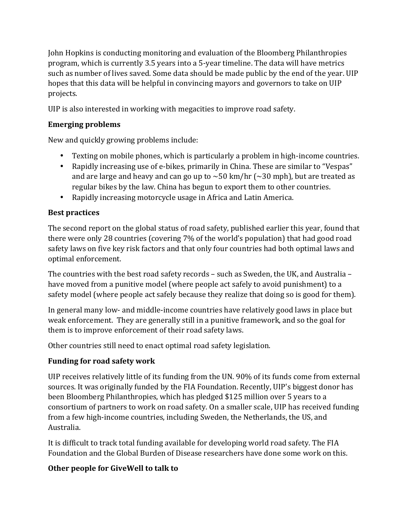John Hopkins is conducting monitoring and evaluation of the Bloomberg Philanthropies program, which is currently 3.5 years into a 5-year timeline. The data will have metrics such as number of lives saved. Some data should be made public by the end of the year. UIP hopes that this data will be helpful in convincing mayors and governors to take on UIP projects.

UIP is also interested in working with megacities to improve road safety.

### **Emerging problems**

New and quickly growing problems include:

- Texting on mobile phones, which is particularly a problem in high-income countries.
- Rapidly increasing use of e-bikes, primarily in China. These are similar to "Vespas" and are large and heavy and can go up to  $\sim$  50 km/hr ( $\sim$  30 mph), but are treated as regular bikes by the law. China has begun to export them to other countries.
- Rapidly increasing motorcycle usage in Africa and Latin America.

# **Best practices**

The second report on the global status of road safety, published earlier this year, found that there were only 28 countries (covering 7% of the world's population) that had good road safety laws on five key risk factors and that only four countries had both optimal laws and optimal enforcement.

The countries with the best road safety records - such as Sweden, the UK, and Australia have moved from a punitive model (where people act safely to avoid punishment) to a safety model (where people act safely because they realize that doing so is good for them).

In general many low- and middle-income countries have relatively good laws in place but weak enforcement. They are generally still in a punitive framework, and so the goal for them is to improve enforcement of their road safety laws.

Other countries still need to enact optimal road safety legislation.

# **Funding for road safety work**

UIP receives relatively little of its funding from the UN. 90% of its funds come from external sources. It was originally funded by the FIA Foundation. Recently, UIP's biggest donor has been Bloomberg Philanthropies, which has pledged \$125 million over 5 years to a consortium of partners to work on road safety. On a smaller scale, UIP has received funding from a few high-income countries, including Sweden, the Netherlands, the US, and Australia. 

It is difficult to track total funding available for developing world road safety. The FIA Foundation and the Global Burden of Disease researchers have done some work on this.

# **Other people for GiveWell to talk to**